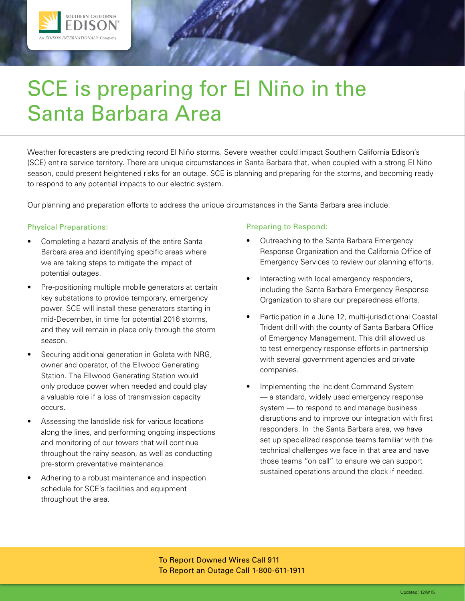

# SCE is preparing for El Niño in the Santa Barbara Area

Weather forecasters are predicting record El Niño storms. Severe weather could impact Southern California Edison's (SCE) entire service territory. There are unique circumstances in Santa Barbara that, when coupled with a strong El Niño season, could present heightened risks for an outage. SCE is planning and preparing for the storms, and becoming ready to respond to any potential impacts to our electric system.

Our planning and preparation efforts to address the unique circumstances in the Santa Barbara area include:

# Physical Preparations:

- Completing a hazard analysis of the entire Santa Barbara area and identifying specific areas where we are taking steps to mitigate the impact of potential outages.
- Pre-positioning multiple mobile generators at certain key substations to provide temporary, emergency power. SCE will install these generators starting in mid-December, in time for potential 2016 storms, and they will remain in place only through the storm season.
- Securing additional generation in Goleta with NRG, owner and operator, of the Ellwood Generating Station. The Ellwood Generating Station would only produce power when needed and could play a valuable role if a loss of transmission capacity occurs.
- Assessing the landslide risk for various locations along the lines, and performing ongoing inspections and monitoring of our towers that will continue throughout the rainy season, as well as conducting pre-storm preventative maintenance.
- Adhering to a robust maintenance and inspection schedule for SCE's facilities and equipment throughout the area.

# Preparing to Respond:

- Outreaching to the Santa Barbara Emergency Response Organization and the California Office of Emergency Services to review our planning efforts.
- Interacting with local emergency responders, including the Santa Barbara Emergency Response Organization to share our preparedness efforts.
- Participation in a June 12, multi-jurisdictional Coastal Trident drill with the county of Santa Barbara Office of Emergency Management. This drill allowed us to test emergency response efforts in partnership with several government agencies and private companies.
- Implementing the Incident Command System — a standard, widely used emergency response system — to respond to and manage business disruptions and to improve our integration with first responders. In the Santa Barbara area, we have set up specialized response teams familiar with the technical challenges we face in that area and have those teams "on call" to ensure we can support sustained operations around the clock if needed.